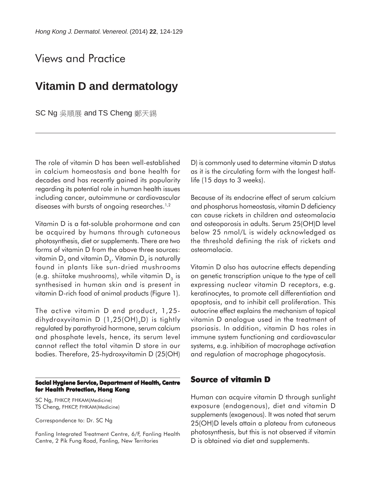# Views and Practice

# **Vitamin D and dermatology**

SC Ng 吳順展 and TS Cheng 鄭天錫

The role of vitamin D has been well-established in calcium homeostasis and bone health for decades and has recently gained its popularity regarding its potential role in human health issues including cancer, autoimmune or cardiovascular diseases with bursts of ongoing researches.<sup>1,2</sup>

Vitamin D is a fat-soluble prohormone and can be acquired by humans through cutaneous photosynthesis, diet or supplements. There are two forms of vitamin D from the above three sources: vitamin  $D_2$  and vitamin  $D_3$ . Vitamin  $D_2$  is naturally found in plants like sun-dried mushrooms (e.g. shiitake mushrooms), while vitamin  $D_3$  is synthesised in human skin and is present in vitamin D-rich food of animal products (Figure 1).

The active vitamin D end product, 1,25 dihydroxyvitamin D  $(1,25(OH),D)$  is tightly regulated by parathyroid hormone, serum calcium and phosphate levels, hence, its serum level cannot reflect the total vitamin D store in our bodies. Therefore, 25-hydroxyvitamin D (25(OH)

#### **Social Hygiene Service, Department of Health, Centre for Health Protection, Hong Kong**

SC Ng, FHKCP, FHKAM(Medicine) TS Cheng, FHKCP, FHKAM(Medicine)

Correspondence to: Dr. SC Ng

Fanling Integrated Treatment Centre, 6/F, Fanling Health Centre, 2 Pik Fung Road, Fanling, New Territories

D) is commonly used to determine vitamin D status as it is the circulating form with the longest halflife (15 days to 3 weeks).

Because of its endocrine effect of serum calcium and phosphorus homeostasis, vitamin D deficiency can cause rickets in children and osteomalacia and osteoporosis in adults. Serum 25(OH)D level below 25 nmol/L is widely acknowledged as the threshold defining the risk of rickets and osteomalacia.

Vitamin D also has autocrine effects depending on genetic transcription unique to the type of cell expressing nuclear vitamin D receptors, e.g. keratinocytes, to promote cell differentiation and apoptosis, and to inhibit cell proliferation. This autocrine effect explains the mechanism of topical vitamin D analogue used in the treatment of psoriasis. In addition, vitamin D has roles in immune system functioning and cardiovascular systems, e.g. inhibition of macrophage activation and regulation of macrophage phagocytosis.

### **Source of vitamin D**

Human can acquire vitamin D through sunlight exposure (endogenous), diet and vitamin D supplements (exogenous). It was noted that serum 25(OH)D levels attain a plateau from cutaneous photosynthesis, but this is not observed if vitamin D is obtained via diet and supplements.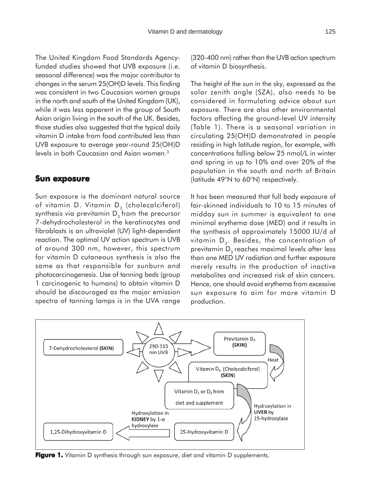The United Kingdom Food Standards Agencyfunded studies showed that UVB exposure (i.e. seasonal difference) was the major contributor to changes in the serum 25(OH)D levels. This finding was consistent in two Caucasian women groups in the north and south of the United Kingdom (UK), while it was less apparent in the group of South Asian origin living in the south of the UK. Besides, those studies also suggested that the typical daily vitamin D intake from food contributed less than UVB exposure to average year-round 25(OH)D levels in both Caucasian and Asian women.3

### **Sun exposure**

Sun exposure is the dominant natural source of vitamin D. Vitamin  $D_3$  (cholecalciferol) synthesis via previtamin  $D<sub>3</sub>$  from the precursor 7-dehydrocholesterol in the keratinocytes and fibroblasts is an ultraviolet (UV) light-dependent reaction. The optimal UV action spectrum is UVB of around 300 nm, however, this spectrum for vitamin D cutaneous synthesis is also the same as that responsible for sunburn and photocarcinogenesis. Use of tanning beds (group 1 carcinogenic to humans) to obtain vitamin D should be discouraged as the major emission spectra of tanning lamps is in the UVA range (320-400 nm) rather than the UVB action spectrum of vitamin D biosynthesis.

The height of the sun in the sky, expressed as the solar zenith angle (SZA), also needs to be considered in formulating advice about sun exposure. There are also other environmental factors affecting the ground-level UV intensity (Table 1). There is a seasonal variation in circulating 25(OH)D demonstrated in people residing in high latitude region, for example, with concentrations falling below 25 nmol/L in winter and spring in up to 10% and over 20% of the population in the south and north of Britain (latitude 49°N to 60°N) respectively.

It has been measured that full body exposure of fair-skinned individuals to 10 to 15 minutes of midday sun in summer is equivalent to one minimal erythema dose (MED) and it results in the synthesis of approximately 15000 IU/d of vitamin  $D<sub>3</sub>$ . Besides, the concentration of previtamin  $D_3$  reaches maximal levels after less than one MED UV radiation and further exposure merely results in the production of inactive metabolites and increased risk of skin cancers. Hence, one should avoid erythema from excessive sun exposure to aim for more vitamin D production.



**Figure 1.** Vitamin D synthesis through sun exposure, diet and vitamin D supplements.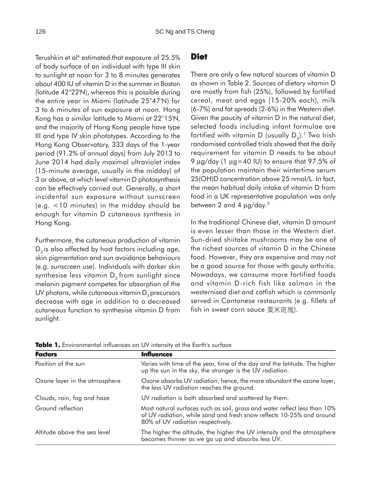Terushkin et al<sup>4</sup> estimated that exposure of 25.5% of body surface of an individual with type III skin to sunlight at noon for 3 to 8 minutes generates about 400 IU of vitamin D in the summer in Boston (latitude 42°22'N), whereas this is possible during the entire year in Miami (latitude 25°47'N) for 3 to 6 minutes of sun exposure at noon. Hong Kong has a similar latitude to Miami at 22°15'N, and the majority of Hong Kong people have type III and type IV skin phototypes. According to the Hong Kong Observatory, 333 days of the 1-year period (91.2% of annual days) from July 2013 to June 2014 had daily maximal ultraviolet index (15-minute average, usually in the midday) of 3 or above, at which level vitamin D photosynthesis can be effectively carried out. Generally, a short incidental sun exposure without sunscreen (e.g. <10 minutes) in the midday should be enough for vitamin D cutaneous synthesis in Hong Kong.

Furthermore, the cutaneous production of vitamin  $D<sub>3</sub>$  is also affected by host factors including age, skin pigmentation and sun avoidance behaviours (e.g. sunscreen use). Individuals with darker skin synthesise less vitamin  $D<sub>3</sub>$  from sunlight since melanin pigment competes for absorption of the UV photons, while cutaneous vitamin  $D<sub>3</sub>$  precursors decrease with age in addition to a decreased cutaneous function to synthesise vitamin D from sunlight.

### **Diet**

There are only a few natural sources of vitamin D as shown in Table 2. Sources of dietary vitamin D are mostly from fish (25%), followed by fortified cereal, meat and eggs (15-20% each), milk (6-7%) and fat spreads (2-6%) in the Western diet. Given the paucity of vitamin D in the natural diet, selected foods including infant formulae are fortified with vitamin D (usually  $D_2$ ).<sup>1</sup> Two Irish randomised controlled trials showed that the daily requirement for vitamin D needs to be about 9 µg/day (1 µg=40 IU) to ensure that 97.5% of the population maintain their wintertime serum 25(OH)D concentration above 25 nmol/L. In fact, the mean habitual daily intake of vitamin D from food in a UK representative population was only between 2 and 4  $\mu$ g/day.<sup>3</sup>

In the traditional Chinese diet, vitamin D amount is even lesser than those in the Western diet. Sun-dried shiitake mushrooms may be one of the richest sources of vitamin D in the Chinese food. However, they are expensive and may not be a good source for those with gouty arthritis. Nowadays, we consume more fortified foods and vitamin D-rich fish like salmon in the westernised diet and catfish which is commonly served in Cantonese restaurants (e.g. fillets of fish in sweet corn sauce  $\frac{1}{\sqrt{2}}$   $\frac{1}{\sqrt{2}}$   $\frac{1}{\sqrt{2}}$   $\frac{1}{\sqrt{2}}$   $\frac{1}{\sqrt{2}}$ 

| <b>Factors</b>                | <b>Influences</b>                                                                                                                                                                       |
|-------------------------------|-----------------------------------------------------------------------------------------------------------------------------------------------------------------------------------------|
| Position of the sun           | Varies with time of the year, time of the day and the latitude. The higher<br>up the sun in the sky, the stronger is the UV radiation.                                                  |
| Ozone layer in the atmosphere | Ozone absorbs UV radiation, hence, the more abundant the ozone layer,<br>the less UV radiation reaches the ground.                                                                      |
| Clouds, rain, fog and haze    | UV radiation is both absorbed and scattered by them.                                                                                                                                    |
| Ground reflection             | Most natural surfaces such as soil, grass and water reflect less than 10%<br>of UV radiation, while sand and fresh snow reflects 10-25% and around<br>80% of UV radiation respectively. |
| Altitude above the sea level  | The higher the altitude, the higher the UV intensity and the atmosphere<br>becomes thinner as we go up and absorbs less UV.                                                             |

**Table 1.** Environmental influences on UV intensity at the Earth's surface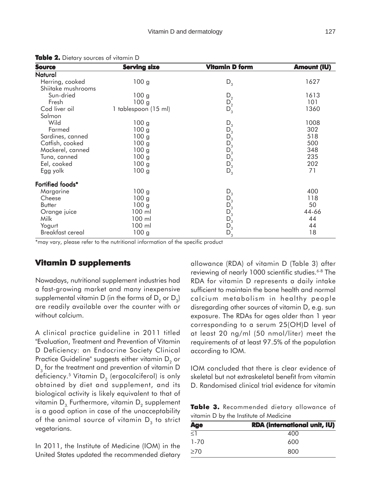| <b>Source</b>      | <b>Serving size</b>  | <b>Vitamin D form</b>              | <b>Amount (IU)</b> |
|--------------------|----------------------|------------------------------------|--------------------|
| <b>Natural</b>     |                      |                                    |                    |
| Herring, cooked    | 100 <sub>g</sub>     | $D_3$                              | 1627               |
| Shiitake mushrooms |                      |                                    |                    |
| Sun-dried          | 100 <sub>g</sub>     | $\mathsf{D}_2$<br>$\mathsf{D}_2^2$ | 1613               |
| Fresh              | 100 <sub>g</sub>     |                                    | 101                |
| Cod liver oil      | 1 tablespoon (15 ml) |                                    | 1360               |
| Salmon             |                      |                                    |                    |
| Wild               | 100 <sub>g</sub>     | $D_3$                              | 1008               |
| Farmed             | 100 <sub>g</sub>     | $D_3$                              | 302                |
| Sardines, canned   | 100 <sub>g</sub>     | $D_3^-$                            | 518                |
| Catfish, cooked    | 100 <sub>g</sub>     | $D_3$                              | 500                |
| Mackerel, canned   | 100 <sub>g</sub>     | $D_3^-$                            | 348                |
| Tuna, canned       | 100 <sub>g</sub>     | $D_3^{\check{}}$                   | 235                |
| Eel, cooked        | 100 <sub>g</sub>     | $D_3$                              | 202                |
| Egg yolk           | 100 <sub>g</sub>     | $D_3$                              | 71                 |
| Fortified foods*   |                      |                                    |                    |
| Margarine          | 100 <sub>g</sub>     | $D_3$                              | 400                |
| Cheese             | 100 <sub>g</sub>     | $D_3$                              | 118                |
| Butter             | 100 <sub>g</sub>     | $D_3^{\check{}}$                   | 50                 |
| Orange juice       | 100 ml               |                                    | 44-66              |
| Milk               | 100 ml               | $D_3$ <sub>3</sub>                 | 44                 |
| Yogurt             | 100 ml               | $D_3^{\circ}$                      | 44                 |
| Breakfast cereal   | 100 <sub>g</sub>     | $D_3$                              | 18                 |

**Table 2.** Dietary sources of vitamin D

\*may vary, please refer to the nutritional information of the specific product

### **Vitamin D supplements**

Nowadays, nutritional supplement industries had a fast-growing market and many inexpensive supplemental vitamin D (in the forms of  $D_2$  or  $D_3$ ) are readily available over the counter with or without calcium.

A clinical practice guideline in 2011 titled "Evaluation, Treatment and Prevention of Vitamin D Deficiency: an Endocrine Society Clinical Practice Guideline" suggests either vitamin  $D_2$  or  $D<sub>3</sub>$  for the treatment and prevention of vitamin D deficiency.<sup>5</sup> Vitamin  $D<sub>2</sub>$  (ergocalciferol) is only obtained by diet and supplement, and its biological activity is likely equivalent to that of vitamin  $D_3$  Furthermore, vitamin  $D_2$  supplement is a good option in case of the unacceptability of the animal source of vitamin  $D_3$  to strict vegetarians.

In 2011, the Institute of Medicine (IOM) in the United States updated the recommended dietary allowance (RDA) of vitamin D (Table 3) after reviewing of nearly 1000 scientific studies.<sup>6-8</sup> The RDA for vitamin D represents a daily intake sufficient to maintain the bone health and normal calcium metabolism in healthy people disregarding other sources of vitamin D, e.g. sun exposure. The RDAs for ages older than 1 year corresponding to a serum 25(OH)D level of at least 20 ng/ml (50 nmol/liter) meet the requirements of at least 97.5% of the population according to IOM.

IOM concluded that there is clear evidence of skeletal but not extraskeletal benefit from vitamin D. Randomised clinical trial evidence for vitamin

|  | Table 3. Recommended dietary allowance of |  |  |
|--|-------------------------------------------|--|--|
|  | vitamin D by the Institute of Medicine    |  |  |

| <b>Age</b> | <b>RDA</b> (international unit, IU) |  |  |
|------------|-------------------------------------|--|--|
| $\leq$ 1   | 400                                 |  |  |
| $1 - 70$   | 600                                 |  |  |
| $\geq 70$  | 800                                 |  |  |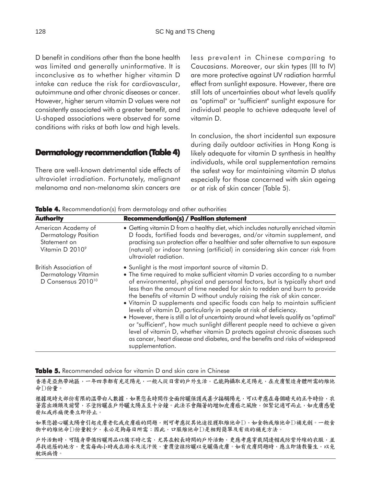D benefit in conditions other than the bone health was limited and generally uninformative. It is inconclusive as to whether higher vitamin D intake can reduce the risk for cardiovascular, autoimmune and other chronic diseases or cancer. However, higher serum vitamin D values were not consistently associated with a greater benefit, and U-shaped associations were observed for some conditions with risks at both low and high levels.

#### **Dermatology recommendation (Table 4)**

There are well-known detrimental side effects of ultraviolet irradiation. Fortunately, malignant melanoma and non-melanoma skin cancers are less prevalent in Chinese comparing to Caucasians. Moreover, our skin types (III to IV) are more protective against UV radiation harmful effect from sunlight exposure. However, there are still lots of uncertainties about what levels qualify as "optimal" or "sufficient" sunlight exposure for individual people to achieve adequate level of vitamin D.

In conclusion, the short incidental sun exposure during daily outdoor activities in Hong Kong is likely adequate for vitamin D synthesis in healthy individuals, while oral supplementation remains the safest way for maintaining vitamin D status especially for those concerned with skin ageing or at risk of skin cancer (Table 5).

**Table 4.** Recommendation(s) from dermatology and other authorities

| <b>Authority</b>                                                                | <b>Recommendation(s) / Position statement</b>                                                                                                                                                                                                                                                                                                                                                                                                                                                                                                                                                                                                                                                                                                                                                                                                                                                        |
|---------------------------------------------------------------------------------|------------------------------------------------------------------------------------------------------------------------------------------------------------------------------------------------------------------------------------------------------------------------------------------------------------------------------------------------------------------------------------------------------------------------------------------------------------------------------------------------------------------------------------------------------------------------------------------------------------------------------------------------------------------------------------------------------------------------------------------------------------------------------------------------------------------------------------------------------------------------------------------------------|
| American Academy of<br>Dermatology Position<br>Statement on<br>Vitamin D 20109  | • Getting vitamin D from a healthy diet, which includes naturally enriched vitamin<br>D foods, fortified foods and beverages, and/or vitamin supplement, and<br>practising sun protection offer a healthier and safer alternative to sun exposure<br>(natural) or indoor tanning (artificial) in considering skin cancer risk from<br>ultraviolet radiation.                                                                                                                                                                                                                                                                                                                                                                                                                                                                                                                                         |
| British Association of<br>Dermatology Vitamin<br>D Consensus 2010 <sup>10</sup> | • Sunlight is the most important source of vitamin D.<br>• The time required to make sufficient vitamin D varies according to a number<br>of environmental, physical and personal factors, but is typically short and<br>less than the amount of time needed for skin to redden and burn to provide<br>the benefits of vitamin D without unduly raising the risk of skin cancer.<br>. Vitamin D supplements and specific foods can help to maintain sufficient<br>levels of vitamin D, particularly in people at risk of deficiency.<br>• However, there is still a lot of uncertainty around what levels qualify as "optimal"<br>or "sufficient", how much sunlight different people need to achieve a given<br>level of vitamin D, whether vitamin D protects against chronic diseases such<br>as cancer, heart disease and diabetes, and the benefits and risks of widespread<br>supplementation. |

**Table 5.** Recommended advice for vitamin D and skin care in Chinese

香港是亞熱帶地區,一年四季都有充足陽光,一般人從日常的戶外生活,已能夠攝取充足陽光,在皮膚製造身體所需的維他 命□份量。

根據現時大部份有限的溫帶白人數據,如果您長時間作全面防曬保護或甚少接觸陽光,可以考慮在每個晴天的正午時份,衣 著露出頭頸及前臂,不塗防曬在戶外曬太陽五至十分鐘。此法不會顯著的增加皮膚癌之風險,但緊記適可而止,如皮膚感覺 發紅或疼痛便要立即停止。

如果您擔心曬太陽會引起皮膚老化或皮膚癌的問題,則可考慮從其他途徑獲取維他命□,如食物或維他命□補充劑。一般食 物中的维他命D份量較少,未必足夠每日所需;因此,口服維他命D是相對簡單及有效的補充方法。

戶外活動時,可隨身帶備防曬用品以備不時之需,尤其在較長時間的戶外活動,更應考慮穿戴闊邊帽或防紫外線的衣服,並 尋找遮蔭的地方,更需每兩小時或在游水及流汗後,重覆塗抹防曬以免曬傷皮膚。如有皮膚問題時,應立即請教醫生,以免 躭誤病情。